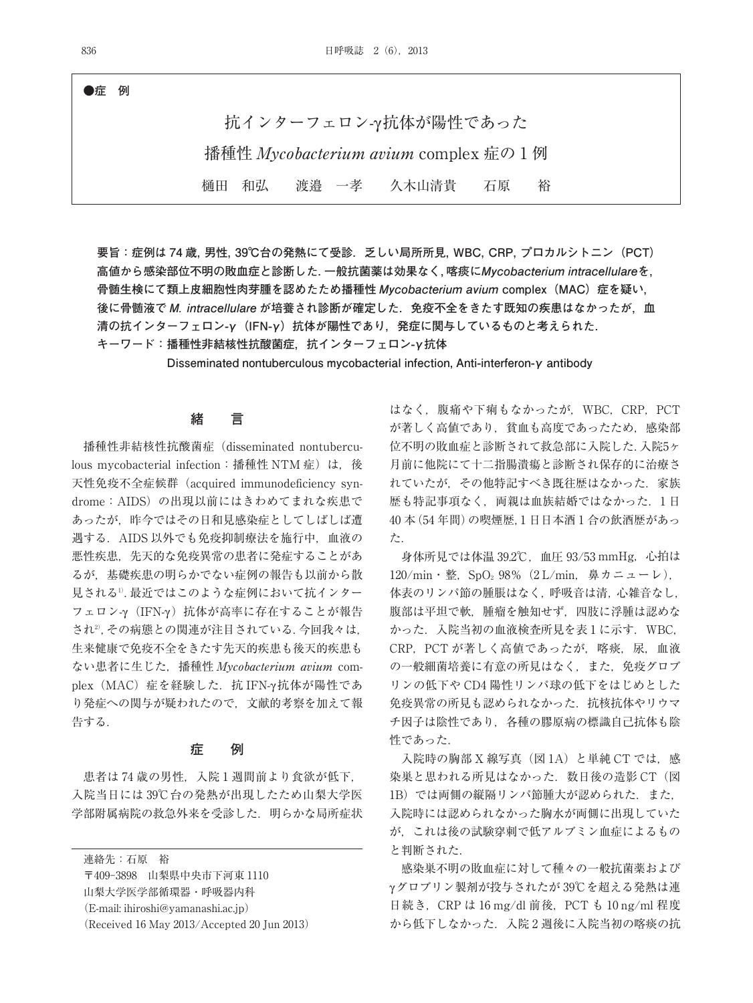**●症 例**

抗インターフェロン-γ抗体が陽性であった 播種性 Mycobacterium avium complex 症の 1 例 樋田 和弘 渡邉 一孝 久木山清貴 石原 裕

**要旨:症例は 74 歳,男性,39℃台の発熱にて受診.乏しい局所所見,WBC,CRP,プロカルシトニン(PCT) 高値から感染部位不明の敗血症と診断した.一般抗菌薬は効果なく,喀痰にMycobacterium intracellulareを, 骨髄生検にて類上皮細胞性肉芽腫を認めたため播種性 Mycobacterium avium complex(MAC)症を疑い, 後に骨髄液で M. intracellulare が培養され診断が確定した.免疫不全をきたす既知の疾患はなかったが,血** 清の抗インターフェロン-γ (IFN-γ)抗体が陽性であり,発症に関与しているものと考えられた.

**キーワード:播種性非結核性抗酸菌症,抗インターフェロン-γ抗体**

**Disseminated nontuberculous mycobacterial infection, Anti-interferon-γ antibody**

## **緒 言**

播種性非結核性抗酸菌症(disseminated nontuberculous mycobacterial infection: 播種性 NTM 症)は、後 天性免疫不全症候群(acquired immunodeficiency syndrome: AIDS) の出現以前にはきわめてまれな疾患で あったが,昨今ではその日和見感染症としてしばしば遭 遇する.AIDS 以外でも免疫抑制療法を施行中,血液の 悪性疾患,先天的な免疫異常の患者に発症することがあ るが,基礎疾患の明らかでない症例の報告も以前から散 見される<sup>1)</sup>. 最近ではこのような症例において抗インター フェロン-γ(IFN-γ )抗体が高率に存在することが報告 され2) ,その病態との関連が注目されている.今回我々は, 生来健康で免疫不全をきたす先天的疾患も後天的疾患も ない患者に生じた,播種性 Mycobacterium avium complex (MAC) 症を経験した. 抗 IFN-γ 抗体が陽性であ り発症への関与が疑われたので,文献的考察を加えて報 告する.

### **症 例**

患者は 74 歳の男性,入院 1 週間前より食欲が低下, 入院当日には 39℃台の発熱が出現したため山梨大学医 学部附属病院の救急外来を受診した. 明らかな局所症状

連絡先:石原 裕

〒409-3898 山梨県中央市下河東 1110 山梨大学医学部循環器・呼吸器内科 (E-mail: ihiroshi@yamanashi.ac.jp)

(Received 16 May 2013/Accepted 20 Jun 2013)

はなく,腹痛や下痢もなかったが,WBC,CRP,PCT が著しく高値であり,貧血も高度であったため,感染部 位不明の敗血症と診断されて救急部に入院した.入院5ヶ 月前に他院にて十二指腸潰瘍と診断され保存的に治療さ れていたが,その他特記すべき既往歴はなかった.家族 歴も特記事項なく、両親は血族結婚ではなかった. 1日 40 本(54 年間)の喫煙歴,1 日日本酒 1 合の飲酒歴があっ た.

身体所見では体温 39.2℃,血圧 93/53 mmHg,心拍は  $120/\text{min}$  · 整, SpO<sub>2</sub> 98% (2 L/min, 鼻カニューレ), 体表のリンパ節の腫脹はなく,呼吸音は清,心雑音なし, 腹部は平坦で軟,腫瘤を触知せず,四肢に浮腫は認めな かった.入院当初の血液検査所見を表 1 に示す.WBC, CRP, PCT が著しく高値であったが、喀痰, 尿, 血液 の一般細菌培養に有意の所見はなく,また,免疫グロブ リンの低下や CD4 陽性リンパ球の低下をはじめとした 免疫異常の所見も認められなかった. 抗核抗体やリウマ チ因子は陰性であり,各種の膠原病の標識自己抗体も陰 性であった.

入院時の胸部 X 線写真(図 1A)と単純 CT では,感 染巣と思われる所見はなかった. 数日後の造影 CT (図 1B)では両側の縦隔リンパ節腫大が認められた.また, 入院時には認められなかった胸水が両側に出現していた が,これは後の試験穿刺で低アルブミン血症によるもの と判断された.

感染巣不明の敗血症に対して種々の一般抗菌薬および γグロブリン製剤が投与されたが 39℃を超える発熱は連 日続き,CRP は 16 mg/dl 前後,PCT も 10 ng/ml 程度 から低下しなかった.入院 2 週後に入院当初の喀痰の抗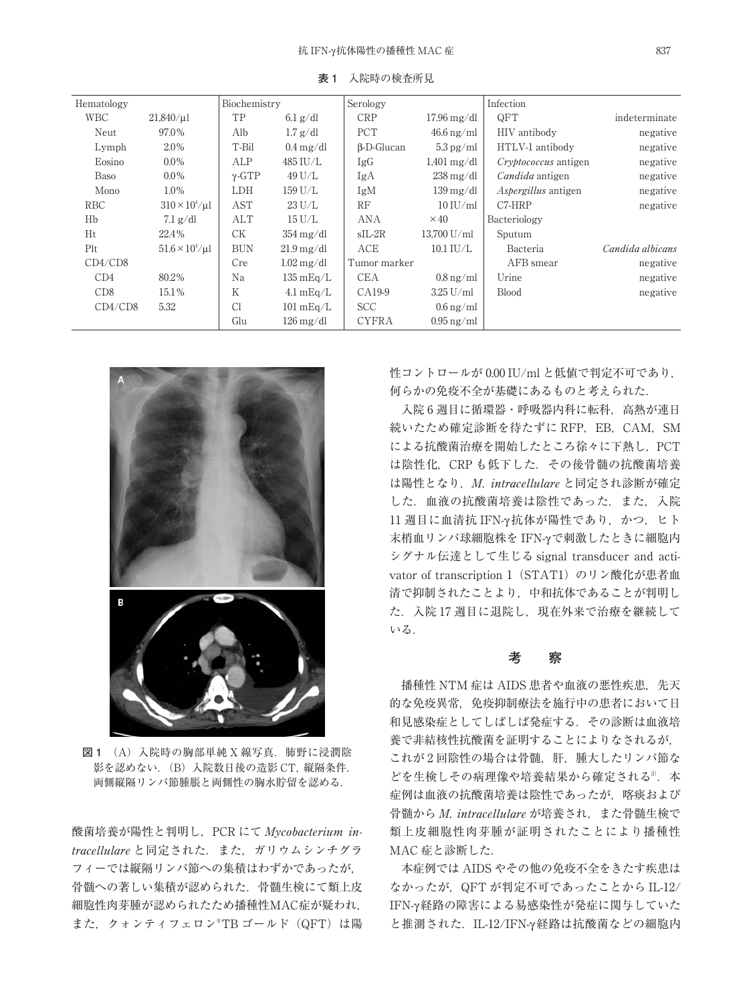| Hematology |                              | Biochemistry  |                                 | Serology          |                                   | Infection                   |                  |
|------------|------------------------------|---------------|---------------------------------|-------------------|-----------------------------------|-----------------------------|------------------|
| <b>WBC</b> | $21,840/\mu$ l               | TP            | $6.1$ g/dl                      | <b>CRP</b>        | $17.96 \,\mathrm{mg}/\mathrm{dl}$ | QFT                         | indeterminate    |
| Neut       | 97.0%                        | Alb           | $1.7$ g/dl                      | <b>PCT</b>        | $46.6 \text{ ng/ml}$              | HIV antibody                | negative         |
| Lymph      | 2.0%                         | T-Bil         | $0.4 \text{ mg}/\text{dl}$      | $\beta$ -D-Glucan | $5.3 \,\mathrm{pg/ml}$            | HTLV-1 antibody             | negative         |
| Eosino     | $0.0\%$                      | ALP           | 485 IU/L                        | IgG               | $1,401 \text{ mg}/\text{dl}$      | <i>Cryptococcus</i> antigen | negative         |
| Baso       | $0.0\%$                      | $\gamma$ -GTP | 49 U/L                          | IgA               | $238 \,\mathrm{mg/dl}$            | Candida antigen             | negative         |
| Mono       | $1.0\%$                      | <b>LDH</b>    | 159 U/L                         | IgM               | $139 \,\mathrm{mg/dl}$            | <i>Aspergillus</i> antigen  | negative         |
| RBC        | $310 \times 10^{4} / \mu$    | AST           | $23$ U/L                        | RF                | $10$ IU/ml                        | $C7-HRP$                    | negative         |
| Hb         | $7.1$ g/dl                   | ALT           | $15$ U/L                        | ANA               | $\times$ 40                       | Bacteriology                |                  |
| Ht         | 22.4%                        | <b>CK</b>     | $354 \,\mathrm{mg}/\mathrm{dl}$ | $SL-2R$           | 13,700 U/ml                       | Sputum                      |                  |
| Plt        | $51.6 \times 10^{4} / \mu$ l | <b>BUN</b>    | $21.9 \,\mathrm{mg/dl}$         | ACE               | $10.1$ IU/L                       | Bacteria                    | Candida albicans |
| CD4/CD8    |                              | Cre           | $1.02 \,\mathrm{mg/dl}$         | Tumor marker      |                                   | AFB smear                   | negative         |
| CD4        | 80.2%                        | Na            | $135 \text{ mEq/L}$             | <b>CEA</b>        | $0.8 \,\mathrm{ng/ml}$            | Urine                       | negative         |
| CD8        | 15.1%                        | Κ             | $4.1 \text{ mEq/L}$             | CA19-9            | $3.25$ U/ml                       | <b>Blood</b>                | negative         |
| CD4/CD8    | 5.32                         | Cl            | $101 \text{ mEq/L}$             | <b>SCC</b>        | $0.6 \,\mathrm{ng/ml}$            |                             |                  |
|            |                              | Glu           | $126 \,\mathrm{mg}/\mathrm{dl}$ | <b>CYFRA</b>      | $0.95$ ng/ml                      |                             |                  |

**表 1** 入院時の検査所見



**図 1** (A)入院時の胸部単純 X 線写真.肺野に浸潤陰 影を認めない.(B)入院数日後の造影 CT,縦隔条件. 両側縦隔リンパ節腫脹と両側性の胸水貯留を認める.

酸菌培養が陽性と判明し, PCR にて Mycobacterium intracellulare と同定された.また,ガリウムシンチグラ フィーでは縦隔リンパ節への集積はわずかであったが, 骨髄への著しい集積が認められた.骨髄生検にて類上皮 細胞性肉芽腫が認められたため播種性MAC症が疑われ, また,クォンティフェロン® TB ゴールド(QFT)は陽

性コントロールが 0.00 IU/ml と低値で判定不可であり, 何らかの免疫不全が基礎にあるものと考えられた.

入院 6 週目に循環器・呼吸器内科に転科, 高熱が連日 続いたため確定診断を待たずに RFP, EB, CAM, SM による抗酸菌治療を開始したところ徐々に下熱し,PCT は陰性化,CRP も低下した.その後骨髄の抗酸菌培養 は陽性となり、M. intracellulare と同定され診断が確定 した. 血液の抗酸菌培養は陰性であった. また, 入院 11 週目に血清抗 IFN-γ抗体が陽性であり、かつ、ヒト 末梢血リンパ球細胞株を IFN-γで刺激したときに細胞内 シグナル伝達として生じる signal transducer and activator of transcription 1 (STAT1) のリン酸化が患者血 清で抑制されたことより,中和抗体であることが判明し た.入院 17 週目に退院し,現在外来で治療を継続して いる.

### **考 察**

播種性 NTM 症は AIDS 患者や血液の悪性疾患. 先天 的な免疫異常,免疫抑制療法を施行中の患者において日 和見感染症としてしばしば発症する.その診断は血液培 養で非結核性抗酸菌を証明することによりなされるが, これが2回陰性の場合は骨髄, 肝, 腫大したリンパ節な どを生検しその病理像や培養結果から確定される3. 本 症例は血液の抗酸菌培養は陰性であったが,喀痰および 骨髄から M. intracellulare が培養され、また骨髄生検で 類上皮細胞性肉芽腫が証明されたことにより播種性 MAC 症と診断した.

本症例では AIDS やその他の免疫不全をきたす疾患は なかったが,QFT が判定不可であったことから IL-12/ IFN-γ 経路の障害による易感染性が発症に関与していた と推測された. IL-12/IFN-γ経路は抗酸菌などの細胞内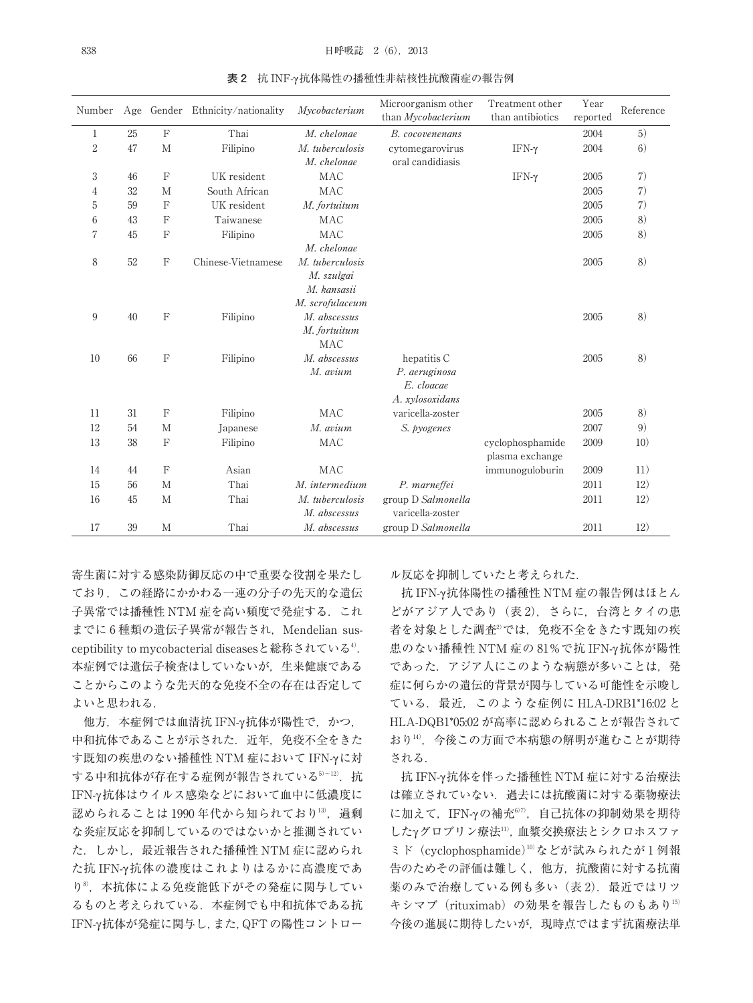| Number         |    |              | Age Gender Ethnicity/nationality | Mycobacterium                   | Microorganism other<br>than Mycobacterium | Treatment other<br>than antibiotics | Year<br>reported | Reference |
|----------------|----|--------------|----------------------------------|---------------------------------|-------------------------------------------|-------------------------------------|------------------|-----------|
| 1              | 25 | $\mathbf F$  | Thai                             | M. chelonae                     | B. cocovenenans                           |                                     | 2004             | 5)        |
| $\overline{2}$ | 47 | M            | Filipino                         | M. tuberculosis                 | cytomegarovirus                           | IFN- $\gamma$                       | 2004             | 6)        |
|                |    |              |                                  | M. chelonae                     | oral candidiasis                          |                                     |                  |           |
| 3              | 46 | $\mathbf{F}$ | UK resident                      | MAC                             |                                           | IFΝ-γ                               | 2005             | 7)        |
| 4              | 32 | M            | South African                    | <b>MAC</b>                      |                                           |                                     | 2005             | 7)        |
| 5              | 59 | $\mathbf{F}$ | UK resident                      | M. fortuitum                    |                                           |                                     | 2005             | 7)        |
| 6              | 43 | $\mathbf{F}$ | Taiwanese                        | <b>MAC</b>                      |                                           |                                     | 2005             | 8)        |
| $\overline{7}$ | 45 | $\mathbf{F}$ | Filipino                         | <b>MAC</b>                      |                                           |                                     | 2005             | 8)        |
|                |    |              |                                  | M. chelonae                     |                                           |                                     |                  |           |
| 8              | 52 | F            | Chinese-Vietnamese               | M. tuberculosis                 |                                           |                                     | 2005             | 8)        |
|                |    |              |                                  | M. szulgai                      |                                           |                                     |                  |           |
|                |    |              |                                  | M. kansasii                     |                                           |                                     |                  |           |
|                | 40 | $\mathbf F$  |                                  | M. scrofulaceum<br>M. abscessus |                                           |                                     |                  | 8)        |
| 9              |    |              | Filipino                         | M. fortuitum                    |                                           |                                     | 2005             |           |
|                |    |              |                                  | MAC                             |                                           |                                     |                  |           |
| 10             | 66 | $\mathbf F$  | Filipino                         | M. abscessus                    | hepatitis C                               |                                     | 2005             | 8)        |
|                |    |              |                                  | M. avium                        | P. aeruginosa                             |                                     |                  |           |
|                |    |              |                                  |                                 | E. cloacae                                |                                     |                  |           |
|                |    |              |                                  |                                 | A. xylosoxidans                           |                                     |                  |           |
| 11             | 31 | $\mathbb{F}$ | Filipino                         | <b>MAC</b>                      | varicella-zoster                          |                                     | 2005             | 8)        |
| 12             | 54 | M            | Japanese                         | M. avium                        | S. pyogenes                               |                                     | 2007             | 9)        |
| 13             | 38 | $\mathbf{F}$ | Filipino                         | <b>MAC</b>                      |                                           | cyclophosphamide                    | 2009             | 10)       |
|                |    |              |                                  |                                 |                                           | plasma exchange                     |                  |           |
| 14             | 44 | $\mathbf{F}$ | Asian                            | <b>MAC</b>                      |                                           | immunoguloburin                     | 2009             | 11)       |
| 15             | 56 | M            | Thai                             | M. intermedium                  | P. marneffei                              |                                     | 2011             | 12)       |
| 16             | 45 | M            | Thai                             | M. tuberculosis                 | group D Salmonella                        |                                     | 2011             | 12)       |
|                |    |              |                                  | M. abscessus                    | varicella-zoster                          |                                     |                  |           |
| 17             | 39 | M            | Thai                             | M. abscessus                    | group D Salmonella                        |                                     | 2011             | 12)       |

**表 2** 抗 INF-γ抗体陽性の播種性非結核性抗酸菌症の報告例

寄生菌に対する感染防御反応の中で重要な役割を果たし ており,この経路にかかわる一連の分子の先天的な遺伝 子異常では播種性 NTM 症を高い頻度で発症する. これ までに6種類の遺伝子異常が報告され, Mendelian susceptibility to mycobacterial diseasesと総称されている<sup>4)</sup>. 本症例では遺伝子検査はしていないが,生来健康である ことからこのような先天的な免疫不全の存在は否定して よいと思われる.

他方,本症例では血清抗 IFN-γ抗体が陽性で,かつ, 中和抗体であることが示された. 近年, 免疫不全をきた す既知の疾患のない播種性 NTM 症において IFN-γに対 する中和抗体が存在する症例が報告されている<sup>5〜12)</sup>.抗 IFN-γ 抗体はウイルス感染などにおいて血中に低濃度に 認められることは 1990 年代から知られており<sup>13)</sup>, 過剰 な炎症反応を抑制しているのではないかと推測されてい た. しかし、最近報告された播種性 NTM 症に認められ た抗 IFN-γ 抗体の濃度はこれよりはるかに高濃度であ り<sup>8</sup>, 本抗体による免疫能低下がその発症に関与してい るものと考えられている.本症例でも中和抗体である抗 IFN-γ抗体が発症に関与し,また,QFTの陽性コントロー ル反応を抑制していたと考えられた.

抗 IFN-γ抗体陽性の播種性 NTM 症の報告例はほとん どがアジア人であり (表2), さらに、台湾とタイの患 者を対象とした調査<sup>2</sup>では,免疫不全をきたす既知の疾 患のない播種性 NTM 症の 81%で抗 IFN-γ 抗体が陽性 であった. アジア人にこのような病態が多いことは、発 症に何らかの遺伝的背景が関与している可能性を示唆し ている.最近,このような症例に HLA-DRB1\*16:02 と HLA-DQB1\*05:02 が高率に認められることが報告されて おり14),今後この方面で本病態の解明が進むことが期待 される.

抗 IFN-γ抗体を伴った播種性 NTM 症に対する治療法 は確立されていない.過去には抗酸菌に対する薬物療法 に加えて,IFN-γの補充<sup>6)7)</sup>,自己抗体の抑制効果を期待 したγグロブリン療法11) ,血漿交換療法とシクロホスファ ミド(cyclophosphamide)10) などが試みられたが 1 例報 告のためその評価は難しく,他方,抗酸菌に対する抗菌 薬のみで治療している例も多い (表2). 最近ではリツ キシマブ (rituximab) の効果を報告したものもあり15) 今後の進展に期待したいが,現時点ではまず抗菌療法単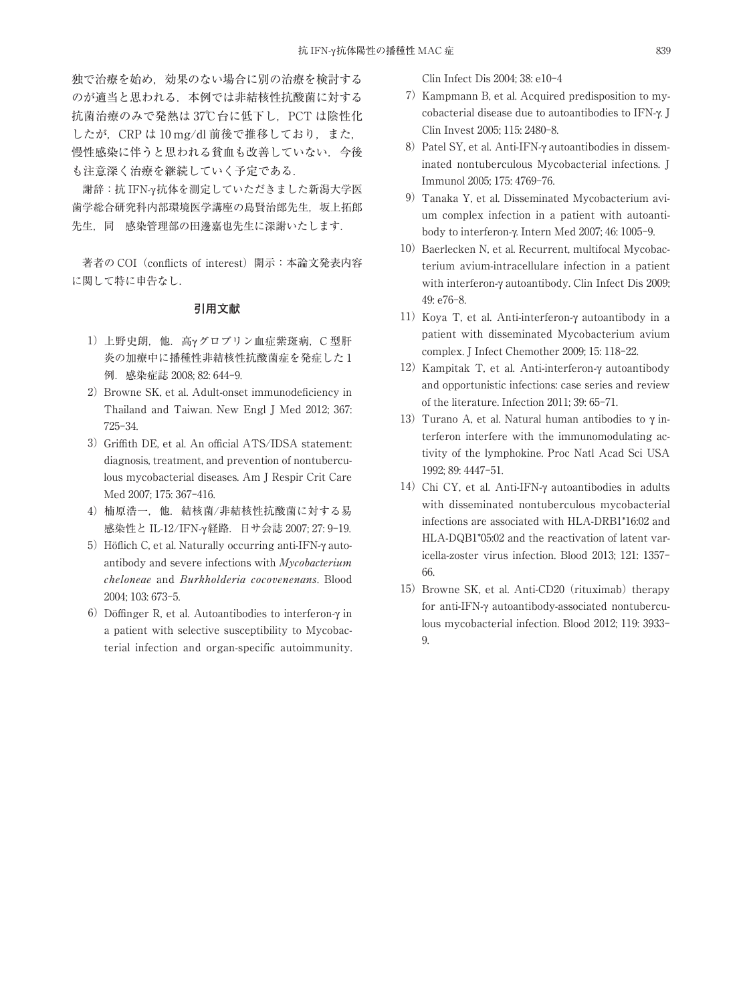独で治療を始め,効果のない場合に別の治療を検討する のが適当と思われる. 本例では非結核性抗酸菌に対する 抗菌治療のみで発熱は37℃台に低下し、PCTは陰性化 したが, CRP は 10 mg/dl 前後で推移しており, また, 慢性感染に伴うと思われる貧血も改善していない.今後 も注意深く治療を継続していく予定である.

謝辞:抗 IFN-γ抗体を測定していただきました新潟大学医 歯学総合研究科内部環境医学講座の島賢治郎先生,坂上拓郎 先生、同 感染管理部の田邊嘉也先生に深謝いたします.

著者の COI (conflicts of interest) 開示: 本論文発表内容 に関して特に申告なし.

## **引用文献**

- 1) 上野史朗, 他. 高γグロブリン血症紫斑病, C 型肝 炎の加療中に播種性非結核性抗酸菌症を発症した 1 例.感染症誌 2008; 82: 644-9.
- 2) Browne SK, et al. Adult-onset immunodeficiency in Thailand and Taiwan. New Engl J Med 2012; 367: 725-34.
- 3) Griffith DE, et al. An official ATS/IDSA statement: diagnosis, treatment, and prevention of nontuberculous mycobacterial diseases. Am J Respir Crit Care Med 2007; 175: 367-416.
- 4) 楠原浩一, 他. 結核菌/非結核性抗酸菌に対する易 感染性と IL-12/IFN-γ経路.日サ会誌 2007; 27: 9-19.
- 5)Höflich C, et al. Naturally occurring anti-IFN-γ autoantibody and severe infections with Mycobacterium cheloneae and Burkholderia cocovenenans. Blood 2004; 103: 673-5.
- 6) Döffinger R, et al. Autoantibodies to interferon- $\gamma$  in a patient with selective susceptibility to Mycobacterial infection and organ-specific autoimmunity.

Clin Infect Dis 2004; 38: e10-4

- 7)Kampmann B, et al. Acquired predisposition to mycobacterial disease due to autoantibodies to IFN-γ. J Clin Invest 2005; 115: 2480-8.
- 8) Patel SY, et al. Anti-IFN-γ autoantibodies in disseminated nontuberculous Mycobacterial infections. J Immunol 2005; 175: 4769-76.
- 9)Tanaka Y, et al. Disseminated Mycobacterium avium complex infection in a patient with autoantibody to interferon-γ. Intern Med 2007; 46: 1005-9.
- 10) Baerlecken N, et al. Recurrent, multifocal Mycobacterium avium-intracellulare infection in a patient with interferon-γ autoantibody. Clin Infect Dis 2009: 49: e76-8.
- 11)Koya T, et al. Anti-interferon-γ autoantibody in a patient with disseminated Mycobacterium avium complex. J Infect Chemother 2009; 15: 118-22.
- 12)Kampitak T, et al. Anti-interferon-γ autoantibody and opportunistic infections: case series and review of the literature. Infection 2011; 39: 65-71.
- 13) Turano A, et al. Natural human antibodies to γ interferon interfere with the immunomodulating activity of the lymphokine. Proc Natl Acad Sci USA 1992; 89: 4447-51.
- 14) Chi CY, et al. Anti-IFN-γ autoantibodies in adults with disseminated nontuberculous mycobacterial infections are associated with HLA-DRB1\*16:02 and HLA-DQB1\*05:02 and the reactivation of latent varicella-zoster virus infection. Blood 2013; 121: 1357- 66.
- 15) Browne SK, et al. Anti-CD20 (rituximab) therapy for anti-IFN-γ autoantibody-associated nontuberculous mycobacterial infection. Blood 2012; 119: 3933- 9.